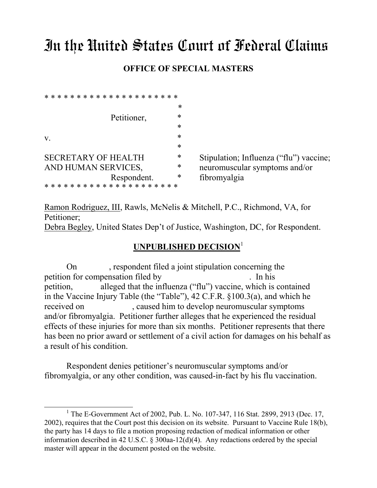# In the United States Court of Federal Claims

#### **OFFICE OF SPECIAL MASTERS**

|             |             |  |       |  |   |   |  |  |                            |  |  |  |   |  |   |  | *      |
|-------------|-------------|--|-------|--|---|---|--|--|----------------------------|--|--|--|---|--|---|--|--------|
|             | Petitioner, |  |       |  |   |   |  |  |                            |  |  |  | * |  |   |  |        |
|             |             |  |       |  |   |   |  |  |                            |  |  |  |   |  |   |  | *      |
| $V_{\cdot}$ |             |  |       |  |   |   |  |  |                            |  |  |  |   |  |   |  | $\ast$ |
|             |             |  |       |  |   |   |  |  |                            |  |  |  |   |  |   |  | *      |
|             |             |  |       |  |   |   |  |  | <b>SECRETARY OF HEALTH</b> |  |  |  |   |  |   |  | *      |
|             |             |  |       |  |   |   |  |  | AND HUMAN SERVICES,        |  |  |  |   |  |   |  | *      |
|             | Respondent. |  |       |  |   |   |  |  |                            |  |  |  |   |  | * |  |        |
|             |             |  | * * * |  | ∗ | * |  |  | * * * * * * * * * * * *    |  |  |  |   |  |   |  |        |

 $\overline{a}$ 

Stipulation; Influenza ("flu") vaccine; neuromuscular symptoms and/or fibromyalgia

Ramon Rodriguez, III, Rawls, McNelis & Mitchell, P.C., Richmond, VA, for Petitioner;

Debra Begley, United States Dep't of Justice, Washington, DC, for Respondent.

### **UNPUBLISHED DECISION**<sup>1</sup>

On , respondent filed a joint stipulation concerning the petition for compensation filed by . In his petition, alleged that the influenza ("flu") vaccine, which is contained in the Vaccine Injury Table (the "Table"), 42 C.F.R. §100.3(a), and which he received on , caused him to develop neuromuscular symptoms and/or fibromyalgia. Petitioner further alleges that he experienced the residual effects of these injuries for more than six months. Petitioner represents that there has been no prior award or settlement of a civil action for damages on his behalf as a result of his condition.

Respondent denies petitioner's neuromuscular symptoms and/or fibromyalgia, or any other condition, was caused-in-fact by his flu vaccination.

<sup>&</sup>lt;sup>1</sup> The E-Government Act of 2002, Pub. L. No. 107-347, 116 Stat. 2899, 2913 (Dec. 17, 2002), requires that the Court post this decision on its website. Pursuant to Vaccine Rule 18(b), the party has 14 days to file a motion proposing redaction of medical information or other information described in 42 U.S.C. § 300aa-12(d)(4). Any redactions ordered by the special master will appear in the document posted on the website.